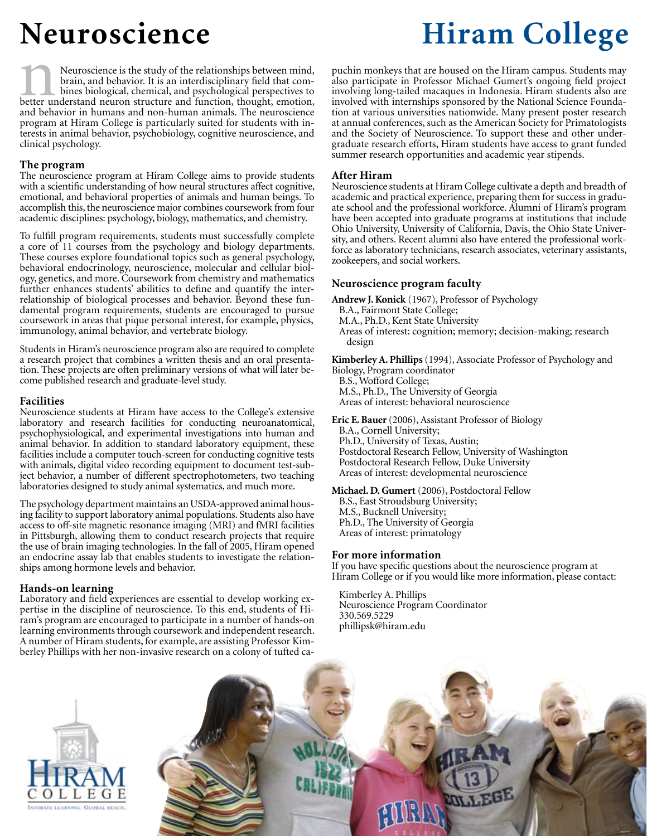Neuroscience is the study of the relationships between mind, brain, and behavior. It is an interdisciplinary field that combines biological, chemical, and psychological perspectives to Better understand neuron structure and function, thought, emotion, thought, emotion, thought, emotion, thought, emotion,  $\frac{1}{n}$ and behavior in humans and non-human animals. The neuroscience program at Hiram College is particularly suited for students with interests in animal behavior, psychobiology, cognitive neuroscience, and clinical psychology.

## **The program**

The neuroscience program at Hiram College aims to provide students with a scientific understanding of how neural structures affect cognitive, emotional, and behavioral properties of animals and human beings. To accomplish this, the neuroscience major combines coursework from four academic disciplines: psychology, biology, mathematics, and chemistry.

To fulfill program requirements, students must successfully complete a core of 11 courses from the psychology and biology departments. These courses explore foundational topics such as general psychology, behavioral endocrinology, neuroscience, molecular and cellular biology, genetics, and more. Coursework from chemistry and mathematics further enhances students' abilities to define and quantify the inter-<br>relationship of biological processes and behavior. Beyond these fundamental program requirements, students are encouraged to pursue coursework in areas that pique personal interest, for example, physics, immunology, animal behavior, and vertebrate biology.

Students in Hiram's neuroscience program also are required to complete a research project that combines a written thesis and an oral presentation. These projects are often preliminary versions of what will later become published research and graduate-level study.

#### **Facilities**

Neuroscience students at Hiram have access to the College's extensive laboratory and research facilities for conducting neuroanatomical, psychophysiological, and experimental investigations into human and animal behavior. In addition to standard laboratory equipment, these facilities include a computer touch-screen for conducting cognitive tests with animals, digital video recording equipment to document test-sub- ject behavior, a number of different spectrophotometers, two teaching laboratories designed to study animal systematics, and much more.

The psychology department maintains an USDA-approved animal hous- ing facility to support laboratory animal populations. Students also have access to off-site magnetic resonance imaging (MRI) and fMRI facilities in Pittsburgh, allowing them to conduct research projects that require the use of brain imaging technologies. In the fall of 2005, Hiram opened an endocrine assay lab that enables students to investigate the relation- ships among hormone levels and behavior.

#### **Hands-on learning**

Laboratory and field experiences are essential to develop working ex- pertise in the discipline of neuroscience. To this end, students of Hi- ram's program are encouraged to participate in a number of hands-on learning environments through coursework and independent research. A number of Hiram students, for example, are assisting Professor Kimberley Phillips with her non-invasive research on a colony of tufted ca-

# **Neuroscience Hiram College**

puchin monkeys that are housed on the Hiram campus. Students may also participate in Professor Michael Gumert's ongoing field project involving long-tailed macaques in Indonesia. Hiram students also are involved with internships sponsored by the National Science Foundation at various universities nationwide. Many present poster research at annual conferences, such as the American Society for Primatologists and the Society of Neuroscience. To support these and other undergraduate research efforts, Hiram students have access to grant funded summer research opportunities and academic year stipends.

#### **After Hiram**

Neuroscience students at Hiram College cultivate a depth and breadth of academic and practical experience, preparing them for success in graduate school and the professional workforce. Alumni of Hiram's program have been accepted into graduate programs at institutions that include Ohio University, University of California, Davis, the Ohio State University, and others. Recent alumni also have entered the professional workforce as laboratory technicians, research associates, veterinary assistants, zookeepers, and social workers.

### **Neuroscience program faculty**

**Andrew J. Konick** (1967), Professor of Psychology

- B.A., Fairmont State College;
- M.A., Ph.D., Kent State University
- Areas of interest: cognition; memory; decision-making; research design

**Kimberley A. Phillips** (1994), Associate Professor of Psychology and Biology, Program coordinator

B.S., Wofford College; M.S., Ph.D., The University of Georgia Areas of interest: behavioral neuroscience

**Eric E. Bauer** (2006), Assistant Professor of Biology B.A., Cornell University; Ph.D., University of Texas, Austin; Postdoctoral Research Fellow, University of Washington Postdoctoral Research Fellow, Duke University Areas of interest: developmental neuroscience

**Michael. D. Gumert** (2006), Postdoctoral Fellow B.S., East Stroudsburg University; M.S., Bucknell University; Ph.D., The University of Georgia Areas of interest: primatology

#### **For more information**

If you have specific questions about the neuroscience program at Hiram College or if you would like more information, please contact:

**WLEGE** 

Kimberley A. Phillips Neuroscience Program Coordinator 330.569.5229 phillipsk@hiram.edu